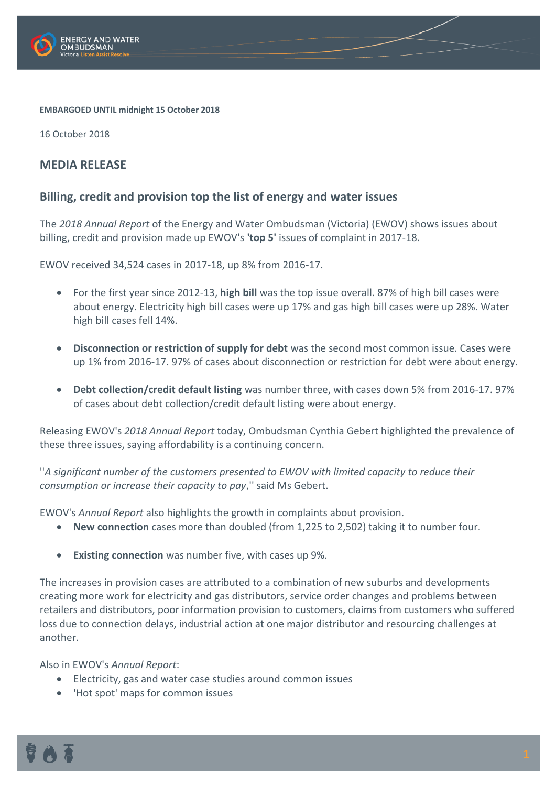

## **EMBARGOED UNTIL midnight 15 October 2018**

16 October 2018

## **MEDIA RELEASE**

## **Billing, credit and provision top the list of energy and water issues**

The *2018 Annual Report* of the Energy and Water Ombudsman (Victoria) (EWOV) shows issues about billing, credit and provision made up EWOV's **'top 5'** issues of complaint in 2017-18.

EWOV received 34,524 cases in 2017-18, up 8% from 2016-17.

- For the first year since 2012-13, **high bill** was the top issue overall. 87% of high bill cases were about energy. Electricity high bill cases were up 17% and gas high bill cases were up 28%. Water high bill cases fell 14%.
- **Disconnection or restriction of supply for debt** was the second most common issue. Cases were up 1% from 2016-17. 97% of cases about disconnection or restriction for debt were about energy.
- **Debt collection/credit default listing** was number three, with cases down 5% from 2016-17. 97% of cases about debt collection/credit default listing were about energy.

Releasing EWOV's *2018 Annual Report* today, Ombudsman Cynthia Gebert highlighted the prevalence of these three issues, saying affordability is a continuing concern.

''*A significant number of the customers presented to EWOV with limited capacity to reduce their consumption or increase their capacity to pay*,'' said Ms Gebert.

EWOV's *Annual Report* also highlights the growth in complaints about provision.

- **New connection** cases more than doubled (from 1,225 to 2,502) taking it to number four.
- **Existing connection** was number five, with cases up 9%.

The increases in provision cases are attributed to a combination of new suburbs and developments creating more work for electricity and gas distributors, service order changes and problems between retailers and distributors, poor information provision to customers, claims from customers who suffered loss due to connection delays, industrial action at one major distributor and resourcing challenges at another.

Also in EWOV's *Annual Report*:

- Electricity, gas and water case studies around common issues
- 'Hot spot' maps for common issues